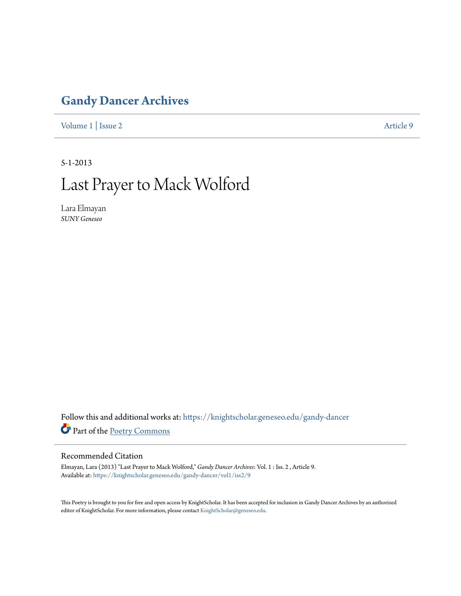## **[Gandy Dancer Archives](https://knightscholar.geneseo.edu/gandy-dancer?utm_source=knightscholar.geneseo.edu%2Fgandy-dancer%2Fvol1%2Fiss2%2F9&utm_medium=PDF&utm_campaign=PDFCoverPages)**

[Volume 1](https://knightscholar.geneseo.edu/gandy-dancer/vol1?utm_source=knightscholar.geneseo.edu%2Fgandy-dancer%2Fvol1%2Fiss2%2F9&utm_medium=PDF&utm_campaign=PDFCoverPages) | [Issue 2](https://knightscholar.geneseo.edu/gandy-dancer/vol1/iss2?utm_source=knightscholar.geneseo.edu%2Fgandy-dancer%2Fvol1%2Fiss2%2F9&utm_medium=PDF&utm_campaign=PDFCoverPages) [Article 9](https://knightscholar.geneseo.edu/gandy-dancer/vol1/iss2/9?utm_source=knightscholar.geneseo.edu%2Fgandy-dancer%2Fvol1%2Fiss2%2F9&utm_medium=PDF&utm_campaign=PDFCoverPages)

5-1-2013

## Last Prayer to Mack Wolford

Lara Elmayan *SUNY Geneseo*

Follow this and additional works at: [https://knightscholar.geneseo.edu/gandy-dancer](https://knightscholar.geneseo.edu/gandy-dancer?utm_source=knightscholar.geneseo.edu%2Fgandy-dancer%2Fvol1%2Fiss2%2F9&utm_medium=PDF&utm_campaign=PDFCoverPages) Part of the [Poetry Commons](http://network.bepress.com/hgg/discipline/1153?utm_source=knightscholar.geneseo.edu%2Fgandy-dancer%2Fvol1%2Fiss2%2F9&utm_medium=PDF&utm_campaign=PDFCoverPages)

## Recommended Citation

Elmayan, Lara (2013) "Last Prayer to Mack Wolford," *Gandy Dancer Archives*: Vol. 1 : Iss. 2 , Article 9. Available at: [https://knightscholar.geneseo.edu/gandy-dancer/vol1/iss2/9](https://knightscholar.geneseo.edu/gandy-dancer/vol1/iss2/9?utm_source=knightscholar.geneseo.edu%2Fgandy-dancer%2Fvol1%2Fiss2%2F9&utm_medium=PDF&utm_campaign=PDFCoverPages)

This Poetry is brought to you for free and open access by KnightScholar. It has been accepted for inclusion in Gandy Dancer Archives by an authorized editor of KnightScholar. For more information, please contact [KnightScholar@geneseo.edu.](mailto:KnightScholar@geneseo.edu)